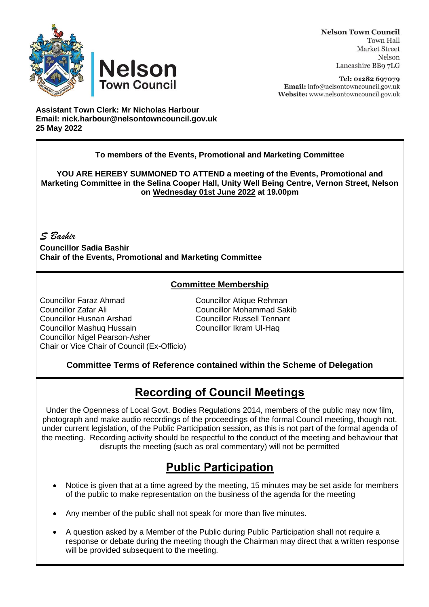



Tel: 01282 697079 Email: info@nelsontowncouncil.gov.uk Website: www.nelsontowncouncil.gov.uk

**Assistant Town Clerk: Mr Nicholas Harbour Email: nick.harbour@nelsontowncouncil.gov.uk 25 May 2022**

**Nelson** 

**Town Council** 

#### **To members of the Events, Promotional and Marketing Committee**

**YOU ARE HEREBY SUMMONED TO ATTEND a meeting of the Events, Promotional and Marketing Committee in the Selina Cooper Hall, Unity Well Being Centre, Vernon Street, Nelson on Wednesday 01st June 2022 at 19.00pm**

*S Bashir*

**Councillor Sadia Bashir Chair of the Events, Promotional and Marketing Committee**

### **Committee Membership**

Councillor Faraz Ahmad Councillor Atique Rehman Councillor Zafar Ali Councillor Mohammad Sakib Councillor Husnan Arshad Councillor Russell Tennant Councillor Mashuq Hussain Councillor Ikram Ul-Haq Councillor Nigel Pearson-Asher Chair or Vice Chair of Council (Ex-Officio)

#### **Committee Terms of Reference contained within the Scheme of Delegation**

# **Recording of Council Meetings**

Under the Openness of Local Govt. Bodies Regulations 2014, members of the public may now film, photograph and make audio recordings of the proceedings of the formal Council meeting, though not, under current legislation, of the Public Participation session, as this is not part of the formal agenda of the meeting. Recording activity should be respectful to the conduct of the meeting and behaviour that disrupts the meeting (such as oral commentary) will not be permitted

## **Public Participation**

- Notice is given that at a time agreed by the meeting, 15 minutes may be set aside for members of the public to make representation on the business of the agenda for the meeting
- Any member of the public shall not speak for more than five minutes.
- A question asked by a Member of the Public during Public Participation shall not require a response or debate during the meeting though the Chairman may direct that a written response will be provided subsequent to the meeting.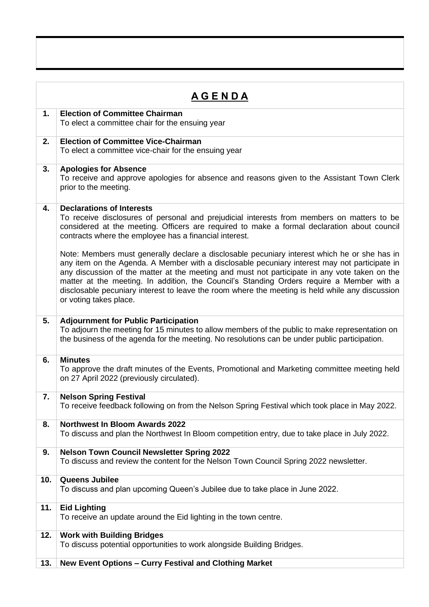| <u>A G E N D A</u> |                                                                                                                                                                                                                                                                                                                                                                                                                                                                                                                          |
|--------------------|--------------------------------------------------------------------------------------------------------------------------------------------------------------------------------------------------------------------------------------------------------------------------------------------------------------------------------------------------------------------------------------------------------------------------------------------------------------------------------------------------------------------------|
| 1.                 | <b>Election of Committee Chairman</b><br>To elect a committee chair for the ensuing year                                                                                                                                                                                                                                                                                                                                                                                                                                 |
| 2.                 | <b>Election of Committee Vice-Chairman</b><br>To elect a committee vice-chair for the ensuing year                                                                                                                                                                                                                                                                                                                                                                                                                       |
| 3.                 | <b>Apologies for Absence</b><br>To receive and approve apologies for absence and reasons given to the Assistant Town Clerk<br>prior to the meeting.                                                                                                                                                                                                                                                                                                                                                                      |
| 4.                 | <b>Declarations of Interests</b><br>To receive disclosures of personal and prejudicial interests from members on matters to be<br>considered at the meeting. Officers are required to make a formal declaration about council<br>contracts where the employee has a financial interest.                                                                                                                                                                                                                                  |
|                    | Note: Members must generally declare a disclosable pecuniary interest which he or she has in<br>any item on the Agenda. A Member with a disclosable pecuniary interest may not participate in<br>any discussion of the matter at the meeting and must not participate in any vote taken on the<br>matter at the meeting. In addition, the Council's Standing Orders require a Member with a<br>disclosable pecuniary interest to leave the room where the meeting is held while any discussion<br>or voting takes place. |
| 5.                 | <b>Adjournment for Public Participation</b><br>To adjourn the meeting for 15 minutes to allow members of the public to make representation on<br>the business of the agenda for the meeting. No resolutions can be under public participation.                                                                                                                                                                                                                                                                           |
| 6.                 | <b>Minutes</b><br>To approve the draft minutes of the Events, Promotional and Marketing committee meeting held<br>on 27 April 2022 (previously circulated).                                                                                                                                                                                                                                                                                                                                                              |
| 7.                 | <b>Nelson Spring Festival</b><br>To receive feedback following on from the Nelson Spring Festival which took place in May 2022.                                                                                                                                                                                                                                                                                                                                                                                          |
| 8.                 | <b>Northwest In Bloom Awards 2022</b><br>To discuss and plan the Northwest In Bloom competition entry, due to take place in July 2022.                                                                                                                                                                                                                                                                                                                                                                                   |
| 9.                 | <b>Nelson Town Council Newsletter Spring 2022</b><br>To discuss and review the content for the Nelson Town Council Spring 2022 newsletter.                                                                                                                                                                                                                                                                                                                                                                               |
| 10.                | <b>Queens Jubilee</b><br>To discuss and plan upcoming Queen's Jubilee due to take place in June 2022.                                                                                                                                                                                                                                                                                                                                                                                                                    |
| 11.                | <b>Eid Lighting</b><br>To receive an update around the Eid lighting in the town centre.                                                                                                                                                                                                                                                                                                                                                                                                                                  |
| 12.                | <b>Work with Building Bridges</b><br>To discuss potential opportunities to work alongside Building Bridges.                                                                                                                                                                                                                                                                                                                                                                                                              |
| 13.                | New Event Options - Curry Festival and Clothing Market                                                                                                                                                                                                                                                                                                                                                                                                                                                                   |